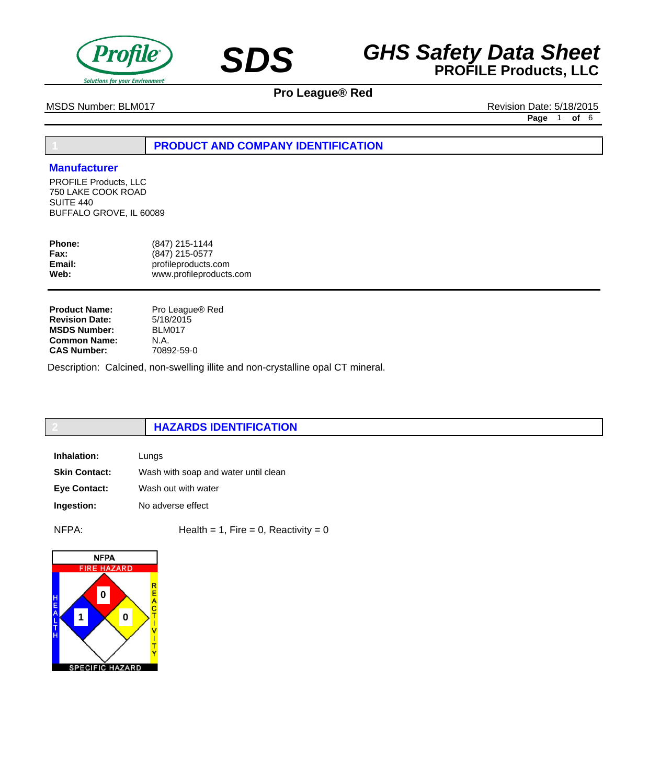



MSDS Number: BLM017 **MSDS Number: BLM017** Revision Date: 5/18/2015

**Page** 1 **of** 6

## **1 PRODUCT AND COMPANY IDENTIFICATION**

### **Manufacturer**

PROFILE Products, LLC 750 LAKE COOK ROAD SUITE 440 BUFFALO GROVE, IL 60089

| <b>Phone:</b> | (847) 215-1144          |
|---------------|-------------------------|
| Fax:          | (847) 215-0577          |
| Email:        | profileproducts.com     |
| Web:          | www.profileproducts.com |
|               |                         |

**Product Name: Revision Date: MSDS Number: Common Name: CAS Number:**

Pro League® Red 5/18/2015 BLM017 N.A. 70892-59-0

Description: Calcined, non-swelling illite and non-crystalline opal CT mineral.

# **2 HAZARDS IDENTIFICATION**

| Inhalation:          | Lungs                                |
|----------------------|--------------------------------------|
| <b>Skin Contact:</b> | Wash with soap and water until clean |
| <b>Eve Contact:</b>  | Wash out with water                  |
| Ingestion:           | No adverse effect                    |

 $NFPA:$  Health = 1, Fire = 0, Reactivity = 0

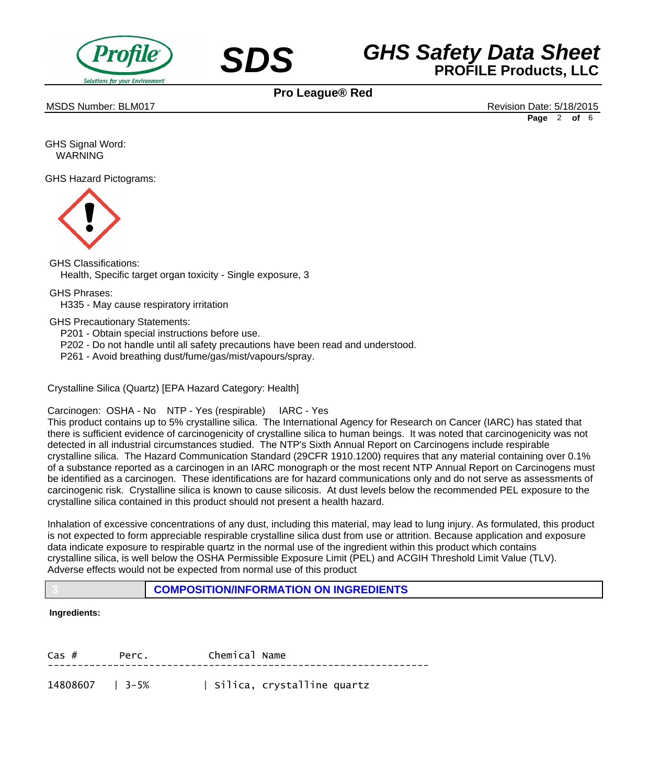



MSDS Number: BLM017 **Alternative Districts and Alternative Districts and Alternative Districts and Alternative Districts and Alternative Districts and Alternative Districts and Alternative Districts and Alternative Distric** 

**Page** 2 **of** 6

GHS Signal Word: WARNING

GHS Hazard Pictograms:



GHS Classifications: Health, Specific target organ toxicity - Single exposure, 3

GHS Phrases:

 H335 - May cause respiratory irritation

GHS Precautionary Statements:

 P201 - Obtain special instructions before use.

- P202 Do not handle until all safety precautions have been read and understood.
- P261 Avoid breathing dust/fume/gas/mist/vapours/spray.

Crystalline Silica (Quartz) [EPA Hazard Category: Health]

Carcinogen: OSHA - No NTP - Yes (respirable) IARC - Yes

This product contains up to 5% crystalline silica. The International Agency for Research on Cancer (IARC) has stated that there is sufficient evidence of carcinogenicity of crystalline silica to human beings. It was noted that carcinogenicity was not detected in all industrial circumstances studied. The NTP's Sixth Annual Report on Carcinogens include respirable crystalline silica. The Hazard Communication Standard (29CFR 1910.1200) requires that any material containing over 0.1% of a substance reported as a carcinogen in an IARC monograph or the most recent NTP Annual Report on Carcinogens must be identified as a carcinogen. These identifications are for hazard communications only and do not serve as assessments of carcinogenic risk. Crystalline silica is known to cause silicosis. At dust levels below the recommended PEL exposure to the crystalline silica contained in this product should not present a health hazard.

Inhalation of excessive concentrations of any dust, including this material, may lead to lung injury. As formulated, this product is not expected to form appreciable respirable crystalline silica dust from use or attrition. Because application and exposure data indicate exposure to respirable quartz in the normal use of the ingredient within this product which contains crystalline silica, is well below the OSHA Permissible Exposure Limit (PEL) and ACGIH Threshold Limit Value (TLV). Adverse effects would not be expected from normal use of this product

**3 COMPOSITION/INFORMATION ON INGREDIENTS**

### **Ingredients:**

| $Cas$ #         | Perc. | Chemical Name |                            |
|-----------------|-------|---------------|----------------------------|
| 14808607   3-5% |       |               | Silica, crystalline quartz |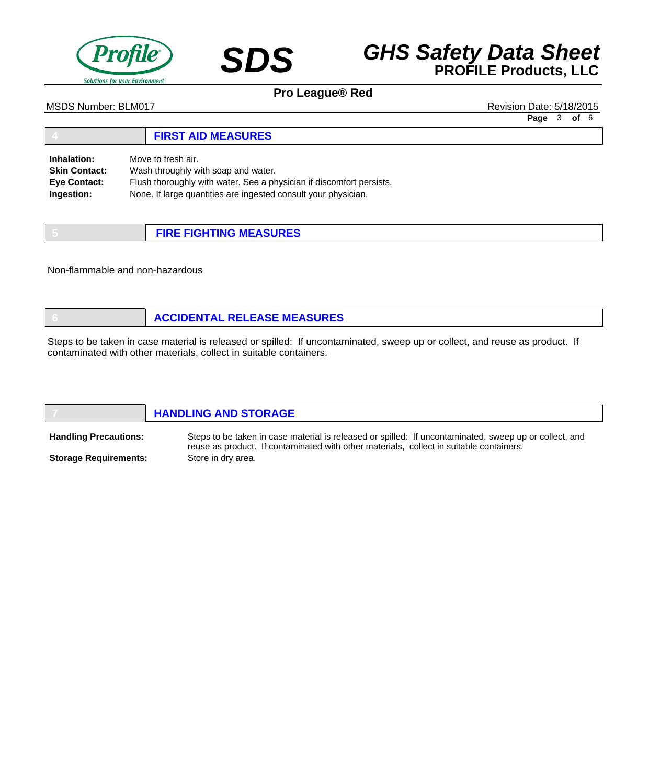

# **SDS GHS Safety Data Sheet**<br>**PROFILE Products, LLC**

**Pro League® Red**

#### MSDS Number: BLM017 **MSDS Number: BLM017** Revision Date: 5/18/2015

**Page** 3 **of** 6

#### **4 FIRST AID MEASURES** Move to fresh air. Wash throughly with soap and water. Flush thoroughly with water. See a physician if discomfort persists. None. If large quantities are ingested consult your physician. **Inhalation: Skin Contact: Eye Contact: Ingestion:**

| <b>FIRE FIGHTING MEASURES</b> |
|-------------------------------|

Non-flammable and non-hazardous

| <b>ACCIDENTAL RELEASE MEASURES</b> |
|------------------------------------|
|------------------------------------|

Steps to be taken in case material is released or spilled: If uncontaminated, sweep up or collect, and reuse as product. If contaminated with other materials, collect in suitable containers.

|                              | <b>HANDLING AND STORAGE</b>                                                                                                                                                                       |
|------------------------------|---------------------------------------------------------------------------------------------------------------------------------------------------------------------------------------------------|
| <b>Handling Precautions:</b> | Steps to be taken in case material is released or spilled: If uncontaminated, sweep up or collect, and<br>reuse as product. If contaminated with other materials, collect in suitable containers. |
| <b>Storage Requirements:</b> | Store in dry area.                                                                                                                                                                                |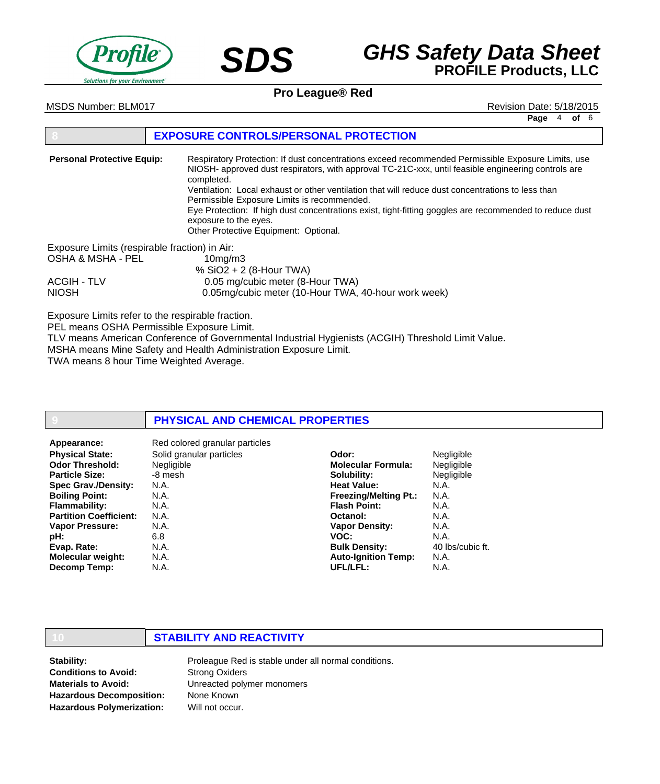



# **SDS GHS Safety Data Sheet**<br>**PROFILE Products, LLC**

**Pro League® Red**

**Page** 4 **of** 6

### MSDS Number: BLM017 **Alternative Districts and Alternative Districts and Alternative Districts and Alternative Districts and Alternative Districts and Alternative Districts and Alternative Districts and Alternative Distric**

### **8 EXPOSURE CONTROLS/PERSONAL PROTECTION**

Respiratory Protection: If dust concentrations exceed recommended Permissible Exposure Limits, use NIOSH- approved dust respirators, with approval TC-21C-xxx, until feasible engineering controls are completed. Ventilation: Local exhaust or other ventilation that will reduce dust concentrations to less than Permissible Exposure Limits is recommended. Eye Protection: If high dust concentrations exist, tight-fitting goggles are recommended to reduce dust exposure to the eyes. Other Protective Equipment: Optional. Exposure Limits (respirable fraction) in Air: OSHA & MSHA - PEL 10mg/m3 % SiO2 + 2 (8-Hour TWA) ACGIH - TLV 0.05 mg/cubic meter (8-Hour TWA) NIOSH 0.05mg/cubic meter (10-Hour TWA, 40-hour work week) **Personal Protective Equip:**

Exposure Limits refer to the respirable fraction.

PEL means OSHA Permissible Exposure Limit.

TLV means American Conference of Governmental Industrial Hygienists (ACGIH) Threshold Limit Value. MSHA means Mine Safety and Health Administration Exposure Limit.

TWA means 8 hour Time Weighted Average.

### **9 PHYSICAL AND CHEMICAL PROPERTIES**

| Appearance:                   | Red colored granular particles |                              |                   |
|-------------------------------|--------------------------------|------------------------------|-------------------|
| <b>Physical State:</b>        | Solid granular particles       | Odor:                        | <b>Negligible</b> |
| <b>Odor Threshold:</b>        | <b>Negligible</b>              | <b>Molecular Formula:</b>    | <b>Negligible</b> |
| <b>Particle Size:</b>         | -8 mesh                        | Solubility:                  | <b>Negligible</b> |
| <b>Spec Grav./Density:</b>    | N.A.                           | <b>Heat Value:</b>           | N.A.              |
| <b>Boiling Point:</b>         | N.A.                           | <b>Freezing/Melting Pt.:</b> | N.A.              |
| <b>Flammability:</b>          | N.A.                           | <b>Flash Point:</b>          | N.A.              |
| <b>Partition Coefficient:</b> | N.A.                           | Octanol:                     | N.A.              |
| <b>Vapor Pressure:</b>        | N.A.                           | <b>Vapor Density:</b>        | N.A.              |
| pH:                           | 6.8                            | VOC:                         | N.A.              |
| Evap. Rate:                   | N.A.                           | <b>Bulk Density:</b>         | 40 lbs/cubic ft.  |
| <b>Molecular weight:</b>      | N.A.                           | <b>Auto-Ignition Temp:</b>   | N.A.              |
| Decomp Temp:                  | N.A.                           | UFL/LFL:                     | N.A.              |

### **10 STABILITY AND REACTIVITY**

**Stability: Conditions to Avoid: Materials to Avoid: Hazardous Decomposition: Hazardous Polymerization:**

Proleague Red is stable under all normal conditions. Strong Oxiders Unreacted polymer monomers None Known Will not occur.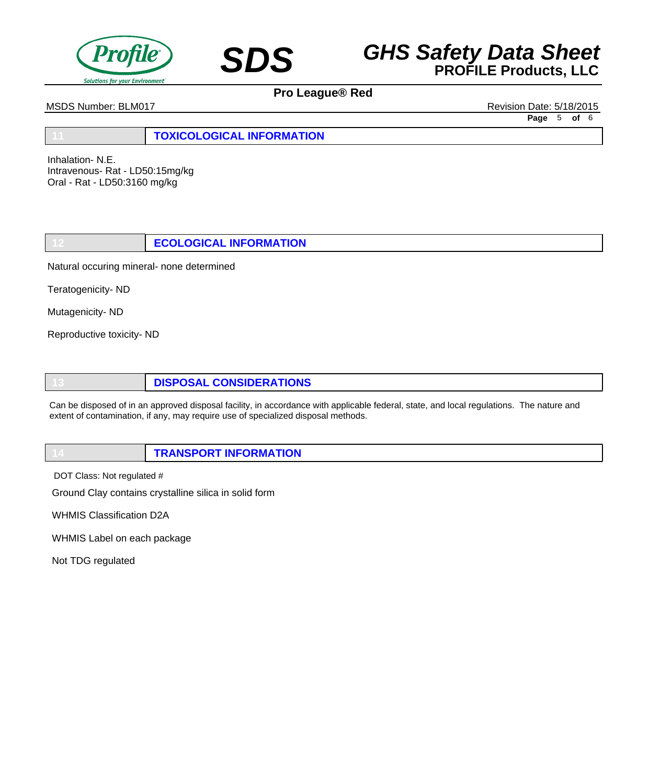



MSDS Number: BLM017 Revision Date: 5/18/2015

**Page** 5 **of** 6

**11 TOXICOLOGICAL INFORMATION**

Inhalation- N.E. Intravenous- Rat - LD50:15mg/kg Oral - Rat - LD50:3160 mg/kg

**12 ECOLOGICAL INFORMATION**

Natural occuring mineral- none determined

Teratogenicity- ND

Mutagenicity- ND

Reproductive toxicity- ND

**13 DISPOSAL CONSIDERATIONS**

Can be disposed of in an approved disposal facility, in accordance with applicable federal, state, and local regulations. The nature and extent of contamination, if any, may require use of specialized disposal methods.

|--|

DOT Class: Not regulated #

Ground Clay contains crystalline silica in solid form

WHMIS Classification D2A

WHMIS Label on each package

Not TDG regulated